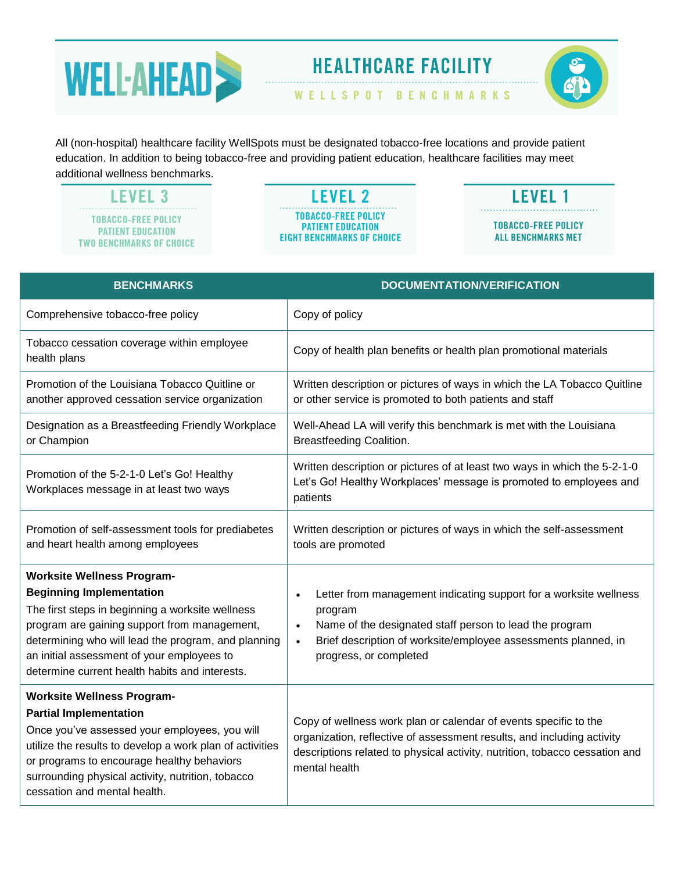

## **HEALTHCARE FACILITY**

WELLSPOT BENCHMARKS

All (non-hospital) healthcare facility WellSpots must be designated tobacco-free locations and provide patient education. In addition to being tobacco-free and providing patient education, healthcare facilities may meet additional wellness benchmarks.

**LEVEL 3 TOBACCO-FREE POLICY PATIENT EDUCATION TWO BENCHMARKS OF CHOICE** 

**LEVEL 2 TOBACCO-FREE POLICY PATIENT EDUCATION EIGHT BENCHMARKS OF CHOICE** 

## **LEVEL 1 TOBACCO-FREE POLICY ALL BENCHMARKS MET**

| <b>BENCHMARKS</b>                                                                                                                                                                                                                                                                                                               | <b>DOCUMENTATION/VERIFICATION</b>                                                                                                                                                                                                                                          |
|---------------------------------------------------------------------------------------------------------------------------------------------------------------------------------------------------------------------------------------------------------------------------------------------------------------------------------|----------------------------------------------------------------------------------------------------------------------------------------------------------------------------------------------------------------------------------------------------------------------------|
| Comprehensive tobacco-free policy                                                                                                                                                                                                                                                                                               | Copy of policy                                                                                                                                                                                                                                                             |
| Tobacco cessation coverage within employee<br>health plans                                                                                                                                                                                                                                                                      | Copy of health plan benefits or health plan promotional materials                                                                                                                                                                                                          |
| Promotion of the Louisiana Tobacco Quitline or<br>another approved cessation service organization                                                                                                                                                                                                                               | Written description or pictures of ways in which the LA Tobacco Quitline<br>or other service is promoted to both patients and staff                                                                                                                                        |
| Designation as a Breastfeeding Friendly Workplace<br>or Champion                                                                                                                                                                                                                                                                | Well-Ahead LA will verify this benchmark is met with the Louisiana<br><b>Breastfeeding Coalition.</b>                                                                                                                                                                      |
| Promotion of the 5-2-1-0 Let's Go! Healthy<br>Workplaces message in at least two ways                                                                                                                                                                                                                                           | Written description or pictures of at least two ways in which the 5-2-1-0<br>Let's Go! Healthy Workplaces' message is promoted to employees and<br>patients                                                                                                                |
| Promotion of self-assessment tools for prediabetes<br>and heart health among employees                                                                                                                                                                                                                                          | Written description or pictures of ways in which the self-assessment<br>tools are promoted                                                                                                                                                                                 |
| <b>Worksite Wellness Program-</b><br><b>Beginning Implementation</b><br>The first steps in beginning a worksite wellness<br>program are gaining support from management,<br>determining who will lead the program, and planning<br>an initial assessment of your employees to<br>determine current health habits and interests. | Letter from management indicating support for a worksite wellness<br>$\bullet$<br>program<br>Name of the designated staff person to lead the program<br>$\bullet$<br>Brief description of worksite/employee assessments planned, in<br>$\bullet$<br>progress, or completed |
| <b>Worksite Wellness Program-</b><br><b>Partial Implementation</b><br>Once you've assessed your employees, you will<br>utilize the results to develop a work plan of activities<br>or programs to encourage healthy behaviors<br>surrounding physical activity, nutrition, tobacco<br>cessation and mental health.              | Copy of wellness work plan or calendar of events specific to the<br>organization, reflective of assessment results, and including activity<br>descriptions related to physical activity, nutrition, tobacco cessation and<br>mental health                                 |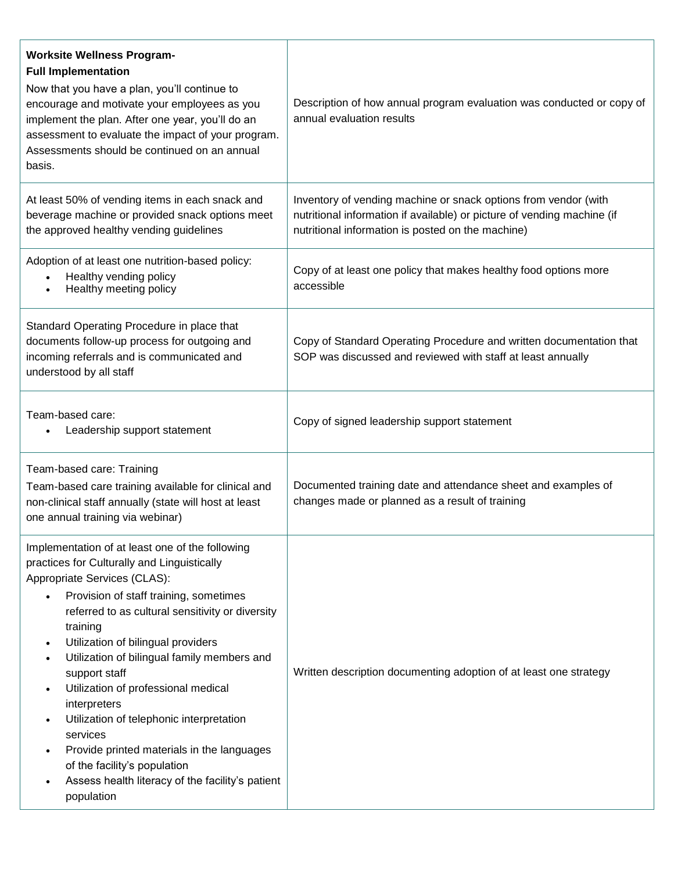| <b>Worksite Wellness Program-</b><br><b>Full Implementation</b><br>Now that you have a plan, you'll continue to<br>encourage and motivate your employees as you<br>implement the plan. After one year, you'll do an<br>assessment to evaluate the impact of your program.<br>Assessments should be continued on an annual<br>basis.                                                                                                                                                                                                                                                                                                                       | Description of how annual program evaluation was conducted or copy of<br>annual evaluation results                                                                                                                                                                                |
|-----------------------------------------------------------------------------------------------------------------------------------------------------------------------------------------------------------------------------------------------------------------------------------------------------------------------------------------------------------------------------------------------------------------------------------------------------------------------------------------------------------------------------------------------------------------------------------------------------------------------------------------------------------|-----------------------------------------------------------------------------------------------------------------------------------------------------------------------------------------------------------------------------------------------------------------------------------|
| At least 50% of vending items in each snack and<br>beverage machine or provided snack options meet<br>the approved healthy vending guidelines<br>Adoption of at least one nutrition-based policy:<br>Healthy vending policy<br>Healthy meeting policy                                                                                                                                                                                                                                                                                                                                                                                                     | Inventory of vending machine or snack options from vendor (with<br>nutritional information if available) or picture of vending machine (if<br>nutritional information is posted on the machine)<br>Copy of at least one policy that makes healthy food options more<br>accessible |
| Standard Operating Procedure in place that<br>documents follow-up process for outgoing and<br>incoming referrals and is communicated and<br>understood by all staff                                                                                                                                                                                                                                                                                                                                                                                                                                                                                       | Copy of Standard Operating Procedure and written documentation that<br>SOP was discussed and reviewed with staff at least annually                                                                                                                                                |
| Team-based care:<br>Leadership support statement                                                                                                                                                                                                                                                                                                                                                                                                                                                                                                                                                                                                          | Copy of signed leadership support statement                                                                                                                                                                                                                                       |
| Team-based care: Training<br>Team-based care training available for clinical and<br>non-clinical staff annually (state will host at least<br>one annual training via webinar)                                                                                                                                                                                                                                                                                                                                                                                                                                                                             | Documented training date and attendance sheet and examples of<br>changes made or planned as a result of training                                                                                                                                                                  |
| Implementation of at least one of the following<br>practices for Culturally and Linguistically<br>Appropriate Services (CLAS):<br>Provision of staff training, sometimes<br>$\bullet$<br>referred to as cultural sensitivity or diversity<br>training<br>Utilization of bilingual providers<br>$\bullet$<br>Utilization of bilingual family members and<br>$\bullet$<br>support staff<br>Utilization of professional medical<br>٠<br>interpreters<br>Utilization of telephonic interpretation<br>services<br>Provide printed materials in the languages<br>of the facility's population<br>Assess health literacy of the facility's patient<br>population | Written description documenting adoption of at least one strategy                                                                                                                                                                                                                 |